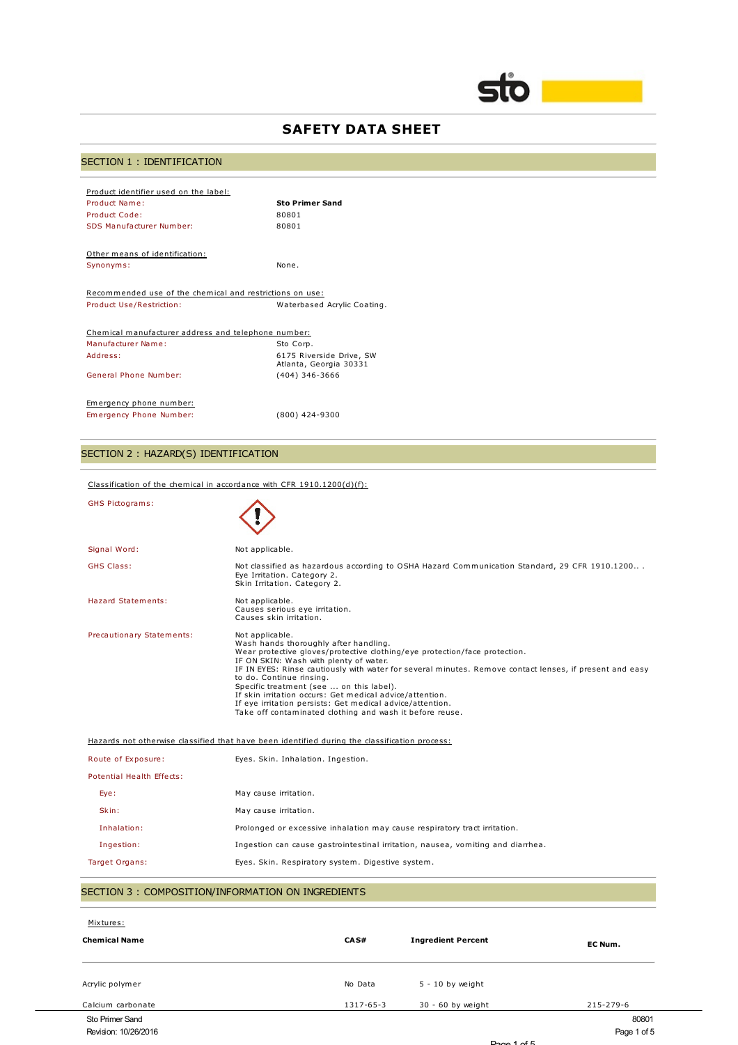

# **SAFETY DATA SHEET**

# SECTION 1 : IDENTIFICATION

| Product identifier used on the label:                    |                                                    |
|----------------------------------------------------------|----------------------------------------------------|
| Product Name:                                            | <b>Sto Primer Sand</b>                             |
| Product Code:                                            | 80801                                              |
| SDS Manufacturer Number:                                 | 80801                                              |
|                                                          |                                                    |
| Other means of identification:                           |                                                    |
| Synonyms:                                                | None.                                              |
|                                                          |                                                    |
| Recommended use of the chemical and restrictions on use: |                                                    |
| Product Use/Restriction:                                 | Waterbased Acrylic Coating.                        |
|                                                          |                                                    |
| Chemical manufacturer address and telephone number:      |                                                    |
| Manufacturer Name:                                       | Sto Corp.                                          |
| Address:                                                 | 6175 Riverside Drive, SW<br>Atlanta, Georgia 30331 |
| General Phone Number:                                    | $(404)$ 346-3666                                   |
|                                                          |                                                    |
| Emergency phone number:                                  |                                                    |
| Emergency Phone Number:                                  | $(800)$ 424-9300                                   |

# SECTION 2 : HAZARD(S) IDENTIFICATION

Classification of the chemical in accordance with CFR 1910.1200(d)(f):

| <b>GHS Pictograms:</b>                             |                                                                                                                                                                                                                                                                                                                                                                                                                                                                                                                                                          |  |
|----------------------------------------------------|----------------------------------------------------------------------------------------------------------------------------------------------------------------------------------------------------------------------------------------------------------------------------------------------------------------------------------------------------------------------------------------------------------------------------------------------------------------------------------------------------------------------------------------------------------|--|
| Signal Word:                                       | Not applicable.                                                                                                                                                                                                                                                                                                                                                                                                                                                                                                                                          |  |
| <b>GHS Class:</b>                                  | Not classified as hazardous according to OSHA Hazard Communication Standard, 29 CFR 1910.1200<br>Eye Irritation. Category 2.<br>Skin Irritation. Category 2.                                                                                                                                                                                                                                                                                                                                                                                             |  |
| Hazard Statements:                                 | Not applicable.<br>Causes serious eye irritation.<br>Causes skin irritation.                                                                                                                                                                                                                                                                                                                                                                                                                                                                             |  |
| Precautionary Statements:                          | Not applicable.<br>Wash hands thoroughly after handling.<br>Wear protective gloves/protective clothing/eye protection/face protection.<br>IF ON SKIN: Wash with plenty of water.<br>IF IN EYES: Rinse cautiously with water for several minutes. Remove contact lenses, if present and easy<br>to do. Continue rinsing.<br>Specific treatment (see  on this label).<br>If skin irritation occurs: Get medical advice/attention.<br>If eye irritation persists: Get medical advice/attention.<br>Take off contaminated clothing and wash it before reuse. |  |
|                                                    | Hazards not otherwise classified that have been identified during the classification process:                                                                                                                                                                                                                                                                                                                                                                                                                                                            |  |
| Route of Exposure:                                 | Eyes. Skin. Inhalation. Ingestion.                                                                                                                                                                                                                                                                                                                                                                                                                                                                                                                       |  |
| Potential Health Effects:                          |                                                                                                                                                                                                                                                                                                                                                                                                                                                                                                                                                          |  |
| Eye:                                               | May cause irritation.                                                                                                                                                                                                                                                                                                                                                                                                                                                                                                                                    |  |
| Skin:                                              | May cause irritation.                                                                                                                                                                                                                                                                                                                                                                                                                                                                                                                                    |  |
| Inhalation:                                        | Prolonged or excessive inhalation may cause respiratory tract irritation.                                                                                                                                                                                                                                                                                                                                                                                                                                                                                |  |
| Ingestion:                                         | Ingestion can cause gastrointestinal irritation, nausea, vomiting and diarrhea.                                                                                                                                                                                                                                                                                                                                                                                                                                                                          |  |
| Target Organs:                                     | Eyes. Skin. Respiratory system. Digestive system.                                                                                                                                                                                                                                                                                                                                                                                                                                                                                                        |  |
| SECTION 3 : COMPOSITION/INFORMATION ON INGREDIENTS |                                                                                                                                                                                                                                                                                                                                                                                                                                                                                                                                                          |  |

| Mixtures:            |           |                           |             |
|----------------------|-----------|---------------------------|-------------|
| <b>Chemical Name</b> | CAS#      | <b>Ingredient Percent</b> | EC Num.     |
|                      |           |                           |             |
| Acrylic polymer      | No Data   | $5 - 10$ by weight        |             |
| Calcium carbonate    | 1317-65-3 | 30 - 60 by weight         | 215-279-6   |
| Sto Primer Sand      |           |                           | 80801       |
| Revision: 10/26/2016 |           |                           | Page 1 of 5 |
|                      |           | $D = 4.57$                |             |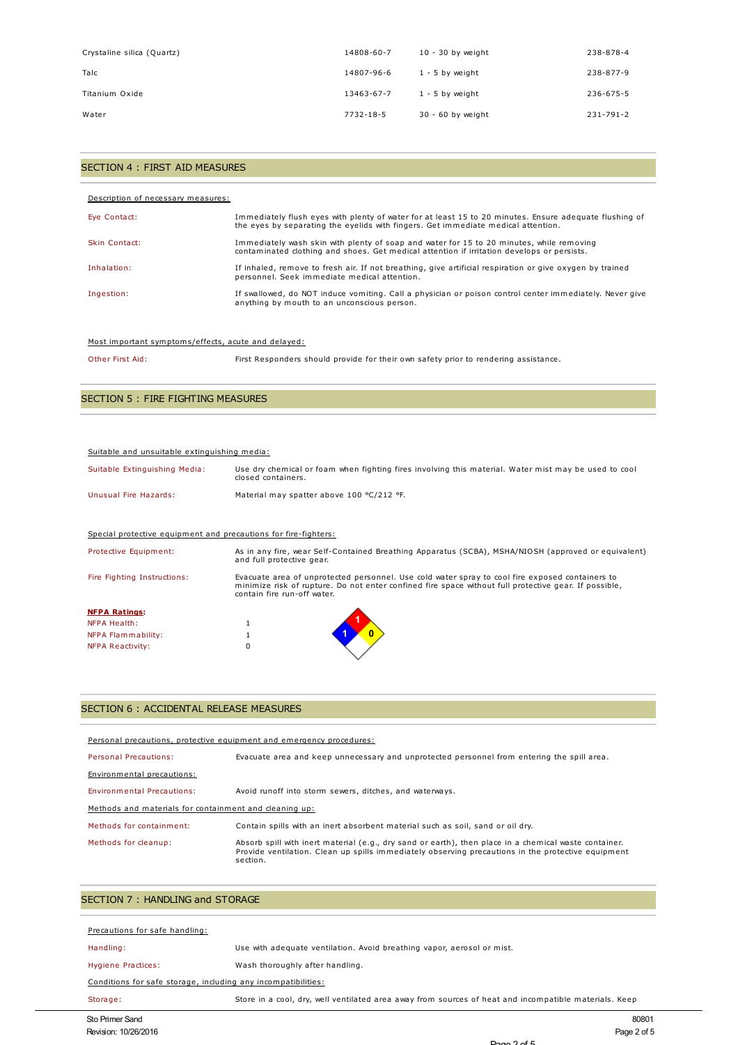| Crystaline silica (Quartz) | 14808-60-7 | $10 - 30$ by weight | 238-878-4       |
|----------------------------|------------|---------------------|-----------------|
| Talc                       | 14807-96-6 | $1 - 5$ by weight   | 238-877-9       |
| Titanium Oxide             | 13463-67-7 | $1 - 5$ by weight   | 236-675-5       |
| Water                      | 7732-18-5  | $30 - 60$ by weight | $231 - 791 - 2$ |

### SECTION 4 : FIRST AID MEASURES

| Description of necessary measures: |                                                                                                                                                                                             |
|------------------------------------|---------------------------------------------------------------------------------------------------------------------------------------------------------------------------------------------|
| Eye Contact:                       | Immediately flush eyes with plenty of water for at least 15 to 20 minutes. Ensure adequate flushing of<br>the eyes by separating the eyelids with fingers. Get immediate medical attention. |
| Skin Contact:                      | Immediately wash skin with plenty of soap and water for 15 to 20 minutes, while removing<br>contaminated clothing and shoes. Get medical attention if irritation develops or persists.      |
| Inhalation:                        | If inhaled, remove to fresh air. If not breathing, give artificial respiration or give oxygen by trained<br>personnel. Seek immediate medical attention.                                    |
| Ingestion:                         | If swallowed, do NOT induce vomiting. Call a physician or poison control center immediately. Never give<br>anything by mouth to an unconscious person.                                      |

#### Most important symptoms/effects, acute and delayed:

Other First Aid: First Responders should provide for their own safety prior to rendering assistance.

## SECTION 5 : FIRE FIGHTING MEASURES

#### Suitable and unsuitable extinguishing media:

| Suitable Extinguishing Media: | Use dry chemical or foam when fighting fires involving this material. Water mist may be used to cool<br>closed containers. |
|-------------------------------|----------------------------------------------------------------------------------------------------------------------------|
| Unusual Fire Hazards:         | Material may spatter above 100 °C/212 °F.                                                                                  |

### Special protective equipment and precautions for fire-fighters:

| Protective Equipment:       | As in any fire, wear Self-Contained Breathing Apparatus (SCBA), MSHA/NIOSH (approved or equivalent)<br>and full protective gear.                                                                                                        |  |  |
|-----------------------------|-----------------------------------------------------------------------------------------------------------------------------------------------------------------------------------------------------------------------------------------|--|--|
| Fire Fighting Instructions: | Evacuate area of unprotected personnel. Use cold water spray to cool fire exposed containers to<br>minimize risk of rupture. Do not enter confined fire space without full protective gear. If possible,<br>contain fire run-off water. |  |  |
| <b>NFPA Ratings:</b>        |                                                                                                                                                                                                                                         |  |  |
| NFPA Health:                |                                                                                                                                                                                                                                         |  |  |
| NFPA Flammability:          |                                                                                                                                                                                                                                         |  |  |
| NFPA Reactivity:            |                                                                                                                                                                                                                                         |  |  |

## SECTION 6 : ACCIDENTAL RELEASE MEASURES

| Personal precautions, protective equipment and emergency procedures: |                                                                                                                                                                                                                         |  |  |
|----------------------------------------------------------------------|-------------------------------------------------------------------------------------------------------------------------------------------------------------------------------------------------------------------------|--|--|
| Personal Precautions:                                                | Evacuate area and keep unnecessary and unprotected personnel from entering the spill area.                                                                                                                              |  |  |
| Environmental precautions:                                           |                                                                                                                                                                                                                         |  |  |
| Environmental Precautions:                                           | Avoid runoff into storm sewers, ditches, and waterways.                                                                                                                                                                 |  |  |
| Methods and materials for containment and cleaning up:               |                                                                                                                                                                                                                         |  |  |
| Methods for containment:                                             | Contain spills with an inert absorbent material such as soil, sand or oil drv.                                                                                                                                          |  |  |
| Methods for cleanup:                                                 | Absorb spill with inert material (e.g., dry sand or earth), then place in a chemical waste container.<br>Provide ventilation. Clean up spills immediately observing precautions in the protective equipment<br>section. |  |  |

## SECTION 7 : HANDLING and STORAGE

| Sto Primer Sand                                               | 80801                                                                                                 |
|---------------------------------------------------------------|-------------------------------------------------------------------------------------------------------|
| Storage:                                                      | Store in a cool, dry, well ventilated area away from sources of heat and incompatible materials. Keep |
| Conditions for safe storage, including any incompatibilities: |                                                                                                       |
| Hygiene Practices:                                            | Wash thoroughly after handling.                                                                       |
| Handling:                                                     | Use with adequate ventilation. Avoid breathing vapor, aerosol or mist.                                |
| Precautions for safe handling:                                |                                                                                                       |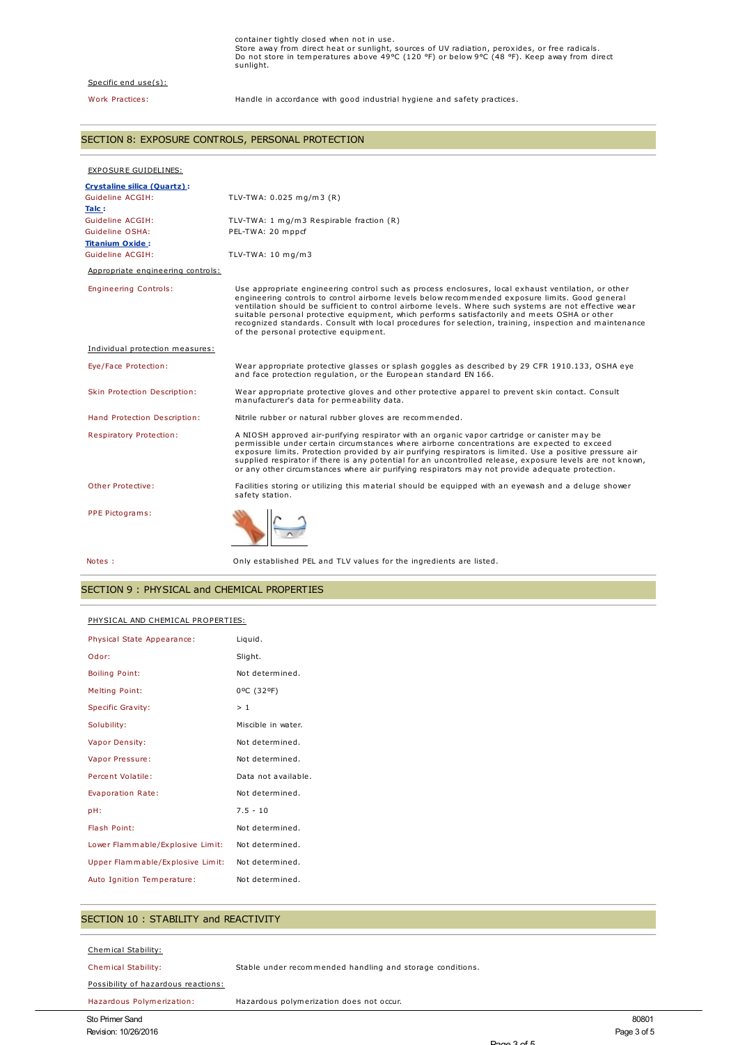#### Specific end use(s):

Work Practices: Handle in accordance with good industrial hygiene and safety practices.

### SECTION 8: EXPOSURE CONTROLS, PERSONAL PROTECTION

| EXPOSURE GUIDELINES:              |                                                                                                                                                                                                                                                                                                                                                                                                                                                                                                                                                                       |
|-----------------------------------|-----------------------------------------------------------------------------------------------------------------------------------------------------------------------------------------------------------------------------------------------------------------------------------------------------------------------------------------------------------------------------------------------------------------------------------------------------------------------------------------------------------------------------------------------------------------------|
| Crystaline silica (Quartz):       |                                                                                                                                                                                                                                                                                                                                                                                                                                                                                                                                                                       |
| Guideline ACGIH:                  | TLV-TWA: $0.025$ mg/m3 (R)                                                                                                                                                                                                                                                                                                                                                                                                                                                                                                                                            |
| Talc:                             |                                                                                                                                                                                                                                                                                                                                                                                                                                                                                                                                                                       |
| Guideline ACGIH:                  | TLV-TWA: 1 mg/m3 Respirable fraction (R)                                                                                                                                                                                                                                                                                                                                                                                                                                                                                                                              |
| Guideline OSHA:                   | PEL-TWA: 20 mppcf                                                                                                                                                                                                                                                                                                                                                                                                                                                                                                                                                     |
| <b>Titanium Oxide:</b>            |                                                                                                                                                                                                                                                                                                                                                                                                                                                                                                                                                                       |
| Guideline ACGIH:                  | TLV-TWA: 10 mg/m3                                                                                                                                                                                                                                                                                                                                                                                                                                                                                                                                                     |
| Appropriate engineering controls: |                                                                                                                                                                                                                                                                                                                                                                                                                                                                                                                                                                       |
| <b>Engineering Controls:</b>      | Use appropriate engineering control such as process enclosures, local exhaust ventilation, or other<br>engineering controls to control airborne levels below recommended exposure limits. Good general<br>ventilation should be sufficient to control airborne levels. Where such systems are not effective wear<br>suitable personal protective equipment, which performs satisfactorily and meets OSHA or other<br>recognized standards. Consult with local procedures for selection, training, inspection and maintenance<br>of the personal protective equipment. |
| Individual protection measures:   |                                                                                                                                                                                                                                                                                                                                                                                                                                                                                                                                                                       |
| Eye/Face Protection:              | Wear appropriate protective glasses or splash goggles as described by 29 CFR 1910.133, OSHA eye<br>and face protection regulation, or the European standard EN 166.                                                                                                                                                                                                                                                                                                                                                                                                   |
| Skin Protection Description:      | Wear appropriate protective gloves and other protective apparel to prevent skin contact. Consult<br>manufacturer's data for permeability data.                                                                                                                                                                                                                                                                                                                                                                                                                        |
| Hand Protection Description:      | Nitrile rubber or natural rubber gloves are recommended.                                                                                                                                                                                                                                                                                                                                                                                                                                                                                                              |
| <b>Respiratory Protection:</b>    | A NIOSH approved air-purifying respirator with an organic vapor cartridge or canister may be<br>permissible under certain circumstances where airborne concentrations are expected to exceed<br>exposure limits. Protection provided by air purifying respirators is limited. Use a positive pressure air<br>supplied respirator if there is any potential for an uncontrolled release, exposure levels are not known,<br>or any other circumstances where air purifying respirators may not provide adequate protection.                                             |
| Other Protective:                 | Facilities storing or utilizing this material should be equipped with an eyewash and a deluge shower<br>safety station.                                                                                                                                                                                                                                                                                                                                                                                                                                               |
| PPE Pictograms:                   |                                                                                                                                                                                                                                                                                                                                                                                                                                                                                                                                                                       |
| Notes :                           | Only established PEL and TLV values for the ingredients are listed.                                                                                                                                                                                                                                                                                                                                                                                                                                                                                                   |

## SECTION 9 : PHYSICAL and CHEMICAL PROPERTIES

#### PHYSICAL AND CHEMICAL PROPERTIES:

| Physical State Appearance:       | Liquid.             |
|----------------------------------|---------------------|
| Odor:                            | Slight.             |
| <b>Boiling Point:</b>            | Not determined.     |
| <b>Melting Point:</b>            | 0°C (32°F)          |
| <b>Specific Gravity:</b>         | >1                  |
| Solubility:                      | Miscible in water.  |
| Vapor Density:                   | Not determined.     |
| Vapor Pressure:                  | Not determined.     |
| Percent Volatile:                | Data not available. |
| Evaporation Rate:                | Not determined.     |
| pH:                              | $7.5 - 10$          |
| Flash Point:                     | Not determined.     |
| Lower Flammable/Explosive Limit: | Not determined.     |
| Upper Flammable/Explosive Limit: | Not determined.     |
| Auto Ignition Temperature:       | Not determined.     |

### SECTION 10 : STABILITY and REACTIVITY

#### Chemical Stability:

Chemical Stability: Stable under recommended handling and storage conditions.

#### Possibility of hazardous reactions:

Hazardous Polymerization: Hazardous polymerization does not occur.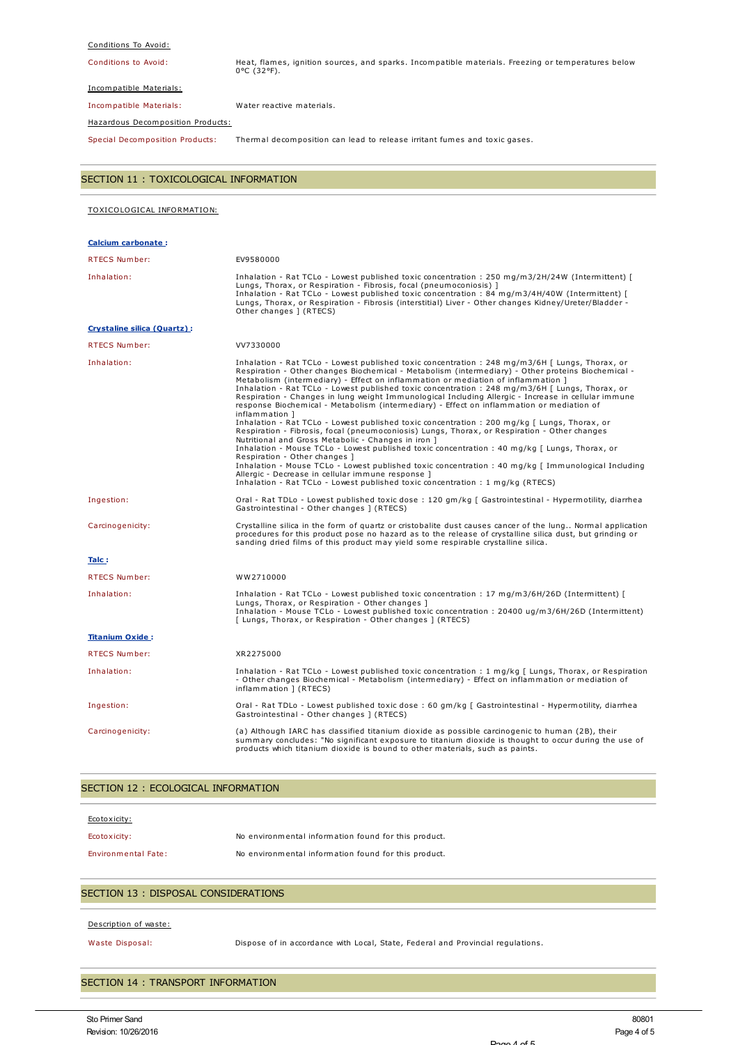#### Conditions To Avoid:

Conditions to Avoid: Heat, flames, ignition sources, and sparks. Incompatible materials. Freezing or temperatures below 0°C (32°F).

Incompatible Materials:

Incompatible Materials: Water reactive materials.

Hazardous Decomposition Products:

Special Decomposition Products: Thermal decomposition can lead to release irritant fumes and toxic gases.

| SECTION 11 : TOXICOLOGICAL INFORMATION |                                                                                                                                                                                                                                                                                                                                                                                                                                                                                                                                                                                                                                                                                                                                                                                                                                                                                                                                                                                                                                                                                                                                                                                                                                                            |  |  |  |  |
|----------------------------------------|------------------------------------------------------------------------------------------------------------------------------------------------------------------------------------------------------------------------------------------------------------------------------------------------------------------------------------------------------------------------------------------------------------------------------------------------------------------------------------------------------------------------------------------------------------------------------------------------------------------------------------------------------------------------------------------------------------------------------------------------------------------------------------------------------------------------------------------------------------------------------------------------------------------------------------------------------------------------------------------------------------------------------------------------------------------------------------------------------------------------------------------------------------------------------------------------------------------------------------------------------------|--|--|--|--|
| TOXICOLOGICAL INFORMATION:             |                                                                                                                                                                                                                                                                                                                                                                                                                                                                                                                                                                                                                                                                                                                                                                                                                                                                                                                                                                                                                                                                                                                                                                                                                                                            |  |  |  |  |
| Calcium carbonate:                     |                                                                                                                                                                                                                                                                                                                                                                                                                                                                                                                                                                                                                                                                                                                                                                                                                                                                                                                                                                                                                                                                                                                                                                                                                                                            |  |  |  |  |
| <b>RTECS Number:</b>                   | EV9580000                                                                                                                                                                                                                                                                                                                                                                                                                                                                                                                                                                                                                                                                                                                                                                                                                                                                                                                                                                                                                                                                                                                                                                                                                                                  |  |  |  |  |
| Inhalation:                            | Inhalation - Rat TCLo - Lowest published toxic concentration : 250 mg/m3/2H/24W (Intermittent) [<br>Lungs, Thorax, or Respiration - Fibrosis, focal (pneumoconiosis) ]<br>Inhalation - Rat TCLo - Lowest published toxic concentration : 84 mg/m3/4H/40W (Intermittent) [<br>Lungs, Thorax, or Respiration - Fibrosis (interstitial) Liver - Other changes Kidney/Ureter/Bladder -<br>Other changes ] (RTECS)                                                                                                                                                                                                                                                                                                                                                                                                                                                                                                                                                                                                                                                                                                                                                                                                                                              |  |  |  |  |
| <b>Crystaline silica (Quartz):</b>     |                                                                                                                                                                                                                                                                                                                                                                                                                                                                                                                                                                                                                                                                                                                                                                                                                                                                                                                                                                                                                                                                                                                                                                                                                                                            |  |  |  |  |
| <b>RTECS Number:</b>                   | VV7330000                                                                                                                                                                                                                                                                                                                                                                                                                                                                                                                                                                                                                                                                                                                                                                                                                                                                                                                                                                                                                                                                                                                                                                                                                                                  |  |  |  |  |
| Inhalation:                            | Inhalation - Rat TCLo - Lowest published toxic concentration : 248 mg/m3/6H [ Lungs, Thorax, or<br>Respiration - Other changes Biochemical - Metabolism (intermediary) - Other proteins Biochemical -<br>Metabolism (intermediary) - Effect on inflammation or mediation of inflammation ]<br>Inhalation - Rat TCLo - Lowest published toxic concentration : 248 mg/m3/6H [ Lungs, Thorax, or<br>Respiration - Changes in lung weight Immunological Including Allergic - Increase in cellular immune<br>response Biochemical - Metabolism (intermediary) - Effect on inflammation or mediation of<br>inflammation 1<br>Inhalation - Rat TCLo - Lowest published toxic concentration : 200 mg/kg [ Lungs, Thorax, or<br>Respiration - Fibrosis, focal (pneumoconiosis) Lungs, Thorax, or Respiration - Other changes<br>Nutritional and Gross Metabolic - Changes in iron ]<br>Inhalation - Mouse TCLo - Lowest published toxic concentration : 40 mg/kg [ Lungs, Thorax, or<br>Respiration - Other changes 1<br>Inhalation - Mouse TCLo - Lowest published toxic concentration : 40 mg/kg [ Immunological Including<br>Allergic - Decrease in cellular immune response ]<br>Inhalation - Rat TCLo - Lowest published toxic concentration : 1 mg/kg (RTECS) |  |  |  |  |
| Ingestion:                             | Oral - Rat TDLo - Lowest published toxic dose : 120 gm/kg [ Gastrointestinal - Hypermotility, diarrhea<br>Gastrointestinal - Other changes ] (RTECS)                                                                                                                                                                                                                                                                                                                                                                                                                                                                                                                                                                                                                                                                                                                                                                                                                                                                                                                                                                                                                                                                                                       |  |  |  |  |
| Carcinogenicity:                       | Crystalline silica in the form of quartz or cristobalite dust causes cancer of the lung Normal application<br>procedures for this product pose no hazard as to the release of crystalline silica dust, but grinding or<br>sanding dried films of this product may yield some respirable crystalline silica.                                                                                                                                                                                                                                                                                                                                                                                                                                                                                                                                                                                                                                                                                                                                                                                                                                                                                                                                                |  |  |  |  |
| Talc:                                  |                                                                                                                                                                                                                                                                                                                                                                                                                                                                                                                                                                                                                                                                                                                                                                                                                                                                                                                                                                                                                                                                                                                                                                                                                                                            |  |  |  |  |
| RTECS Number:                          | WW2710000                                                                                                                                                                                                                                                                                                                                                                                                                                                                                                                                                                                                                                                                                                                                                                                                                                                                                                                                                                                                                                                                                                                                                                                                                                                  |  |  |  |  |
| Inhalation:                            | Inhalation - Rat TCLo - Lowest published toxic concentration : 17 mg/m3/6H/26D (Intermittent) [<br>Lungs, Thorax, or Respiration - Other changes ]<br>Inhalation - Mouse TCLo - Lowest published toxic concentration : 20400 ug/m3/6H/26D (Intermittent)<br>[ Lungs, Thorax, or Respiration - Other changes ] (RTECS)                                                                                                                                                                                                                                                                                                                                                                                                                                                                                                                                                                                                                                                                                                                                                                                                                                                                                                                                      |  |  |  |  |
| <b>Titanium Oxide:</b>                 |                                                                                                                                                                                                                                                                                                                                                                                                                                                                                                                                                                                                                                                                                                                                                                                                                                                                                                                                                                                                                                                                                                                                                                                                                                                            |  |  |  |  |
| RTECS Number:                          | XR2275000                                                                                                                                                                                                                                                                                                                                                                                                                                                                                                                                                                                                                                                                                                                                                                                                                                                                                                                                                                                                                                                                                                                                                                                                                                                  |  |  |  |  |
| Inhalation:                            | Inhalation - Rat TCLo - Lowest published toxic concentration : 1 mg/kg [ Lungs, Thorax, or Respiration<br>- Other changes Biochemical - Metabolism (intermediary) - Effect on inflammation or mediation of<br>inflammation ] (RTECS)                                                                                                                                                                                                                                                                                                                                                                                                                                                                                                                                                                                                                                                                                                                                                                                                                                                                                                                                                                                                                       |  |  |  |  |
| Ingestion:                             | Oral - Rat TDLo - Lowest published toxic dose : 60 gm/kg [ Gastrointestinal - Hypermotility, diarrhea<br>Gastrointestinal - Other changes ] (RTECS)                                                                                                                                                                                                                                                                                                                                                                                                                                                                                                                                                                                                                                                                                                                                                                                                                                                                                                                                                                                                                                                                                                        |  |  |  |  |
| Carcinogenicity:                       | (a) Although IARC has classified titanium dioxide as possible carcinogenic to human (2B), their<br>summary concludes: "No significant exposure to titanium dioxide is thought to occur during the use of<br>products which titanium dioxide is bound to other materials, such as paints.                                                                                                                                                                                                                                                                                                                                                                                                                                                                                                                                                                                                                                                                                                                                                                                                                                                                                                                                                                   |  |  |  |  |

## SECTION 12 : ECOLOGICAL INFORMATION

| Ecotoxicity:               |                                                      |
|----------------------------|------------------------------------------------------|
| Ecotoxicity:               | No environmental information found for this product. |
| <b>Environmental Fate:</b> | No environmental information found for this product. |

# SECTION 13 : DISPOSAL CONSIDERATIONS

#### Description of waste:

Waste Disposal: Dispose of in accordance with Local, State, Federal and Provincial regulations.

### SECTION 14 : TRANSPORT INFORMATION